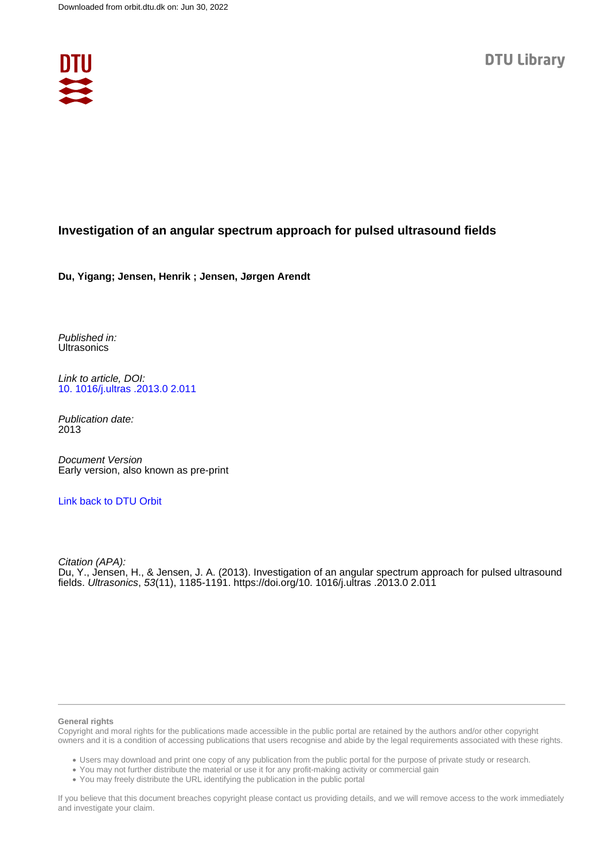

### **Investigation of an angular spectrum approach for pulsed ultrasound fields**

**Du, Yigang; Jensen, Henrik ; Jensen, Jørgen Arendt**

Published in: **Ultrasonics** 

Link to article, DOI: [10. 1016/j.ultras .2013.0 2.011](https://doi.org/10. 1016/j.ultras .2013.0 2.011)

Publication date: 2013

Document Version Early version, also known as pre-print

### [Link back to DTU Orbit](https://orbit.dtu.dk/en/publications/4880fa79-eaf0-4cff-96a8-6e7913bdd3f3)

Citation (APA): Du, Y., Jensen, H., & Jensen, J. A. (2013). Investigation of an angular spectrum approach for pulsed ultrasound fields. Ultrasonics, 53(11), 1185-1191. <https://doi.org/10. 1016/j.ultras .2013.0 2.011>

#### **General rights**

Copyright and moral rights for the publications made accessible in the public portal are retained by the authors and/or other copyright owners and it is a condition of accessing publications that users recognise and abide by the legal requirements associated with these rights.

Users may download and print one copy of any publication from the public portal for the purpose of private study or research.

- You may not further distribute the material or use it for any profit-making activity or commercial gain
- You may freely distribute the URL identifying the publication in the public portal

If you believe that this document breaches copyright please contact us providing details, and we will remove access to the work immediately and investigate your claim.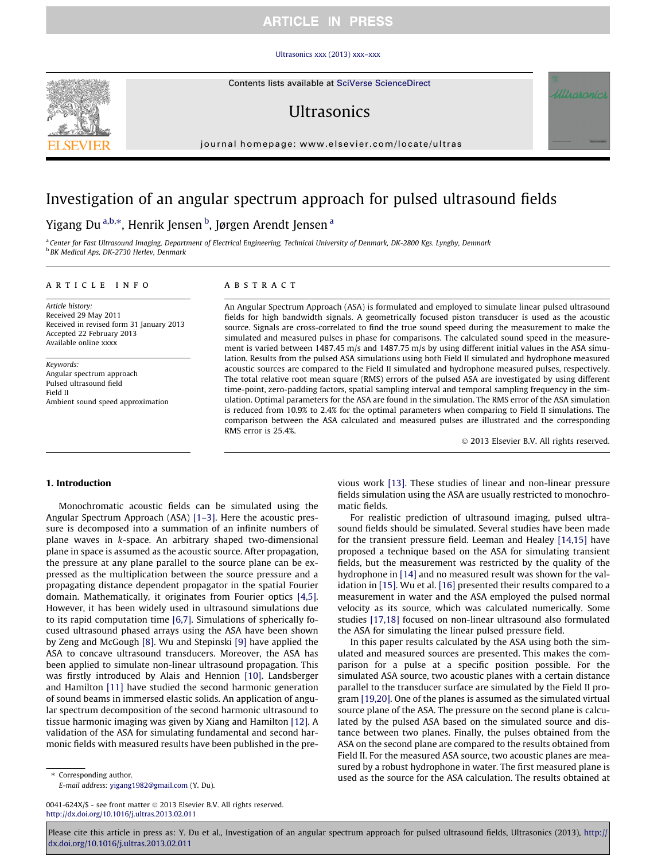#### [Ultrasonics xxx \(2013\) xxx–xxx](http://dx.doi.org/10.1016/j.ultras.2013.02.011)

Contents lists available at SciVerse ScienceDirect

# **I**IItrasonics

journal homepage: [www.elsevier.com/locate/ultras](http://www.elsevier.com/locate/ultras)

# Investigation of an angular spectrum approach for pulsed ultrasound fields

## Yigang Du <sup>a,b,</sup>\*, Henrik Jensen <sup>b</sup>, Jørgen Arendt Jensen <sup>a</sup>

a Center for Fast Ultrasound Imaging, Department of Electrical Engineering, Technical University of Denmark, DK-2800 Kgs. Lyngby, Denmark **b BK Medical Aps, DK-2730 Herley, Denmark** 

#### article info

Article history: Received 29 May 2011 Received in revised form 31 January 2013 Accepted 22 February 2013 Available online xxxx

Keywords: Angular spectrum approach Pulsed ultrasound field Field II Ambient sound speed approximation

### **ABSTRACT**

An Angular Spectrum Approach (ASA) is formulated and employed to simulate linear pulsed ultrasound fields for high bandwidth signals. A geometrically focused piston transducer is used as the acoustic source. Signals are cross-correlated to find the true sound speed during the measurement to make the simulated and measured pulses in phase for comparisons. The calculated sound speed in the measurement is varied between 1487.45 m/s and 1487.75 m/s by using different initial values in the ASA simulation. Results from the pulsed ASA simulations using both Field II simulated and hydrophone measured acoustic sources are compared to the Field II simulated and hydrophone measured pulses, respectively. The total relative root mean square (RMS) errors of the pulsed ASA are investigated by using different time-point, zero-padding factors, spatial sampling interval and temporal sampling frequency in the simulation. Optimal parameters for the ASA are found in the simulation. The RMS error of the ASA simulation is reduced from 10.9% to 2.4% for the optimal parameters when comparing to Field II simulations. The comparison between the ASA calculated and measured pulses are illustrated and the corresponding RMS error is 25.4%.

- 2013 Elsevier B.V. All rights reserved.

#### 1. Introduction

Monochromatic acoustic fields can be simulated using the Angular Spectrum Approach (ASA) [\[1–3\]](#page-6-0). Here the acoustic pressure is decomposed into a summation of an infinite numbers of plane waves in k-space. An arbitrary shaped two-dimensional plane in space is assumed as the acoustic source. After propagation, the pressure at any plane parallel to the source plane can be expressed as the multiplication between the source pressure and a propagating distance dependent propagator in the spatial Fourier domain. Mathematically, it originates from Fourier optics  $[4,5]$ . However, it has been widely used in ultrasound simulations due to its rapid computation time [\[6,7\]](#page-6-0). Simulations of spherically focused ultrasound phased arrays using the ASA have been shown by Zeng and McGough [\[8\].](#page-7-0) Wu and Stepinski [\[9\]](#page-7-0) have applied the ASA to concave ultrasound transducers. Moreover, the ASA has been applied to simulate non-linear ultrasound propagation. This was firstly introduced by Alais and Hennion [\[10\]](#page-7-0). Landsberger and Hamilton [\[11\]](#page-7-0) have studied the second harmonic generation of sound beams in immersed elastic solids. An application of angular spectrum decomposition of the second harmonic ultrasound to tissue harmonic imaging was given by Xiang and Hamilton [\[12\].](#page-7-0) A validation of the ASA for simulating fundamental and second harmonic fields with measured results have been published in the pre-

\* Corresponding author. E-mail address: [yigang1982@gmail.com](mailto:yigang1982@gmail.com) (Y. Du).

0041-624X/\$ - see front matter © 2013 Elsevier B.V. All rights reserved. <http://dx.doi.org/10.1016/j.ultras.2013.02.011>

vious work [\[13\]](#page-7-0). These studies of linear and non-linear pressure fields simulation using the ASA are usually restricted to monochromatic fields.

For realistic prediction of ultrasound imaging, pulsed ultrasound fields should be simulated. Several studies have been made for the transient pressure field. Leeman and Healey [\[14,15\]](#page-7-0) have proposed a technique based on the ASA for simulating transient fields, but the measurement was restricted by the quality of the hydrophone in [\[14\]](#page-7-0) and no measured result was shown for the validation in [\[15\]](#page-7-0). Wu et al. [\[16\]](#page-7-0) presented their results compared to a measurement in water and the ASA employed the pulsed normal velocity as its source, which was calculated numerically. Some studies [\[17,18\]](#page-7-0) focused on non-linear ultrasound also formulated the ASA for simulating the linear pulsed pressure field.

In this paper results calculated by the ASA using both the simulated and measured sources are presented. This makes the comparison for a pulse at a specific position possible. For the simulated ASA source, two acoustic planes with a certain distance parallel to the transducer surface are simulated by the Field II program [\[19,20\].](#page-7-0) One of the planes is assumed as the simulated virtual source plane of the ASA. The pressure on the second plane is calculated by the pulsed ASA based on the simulated source and distance between two planes. Finally, the pulses obtained from the ASA on the second plane are compared to the results obtained from Field II. For the measured ASA source, two acoustic planes are measured by a robust hydrophone in water. The first measured plane is used as the source for the ASA calculation. The results obtained at

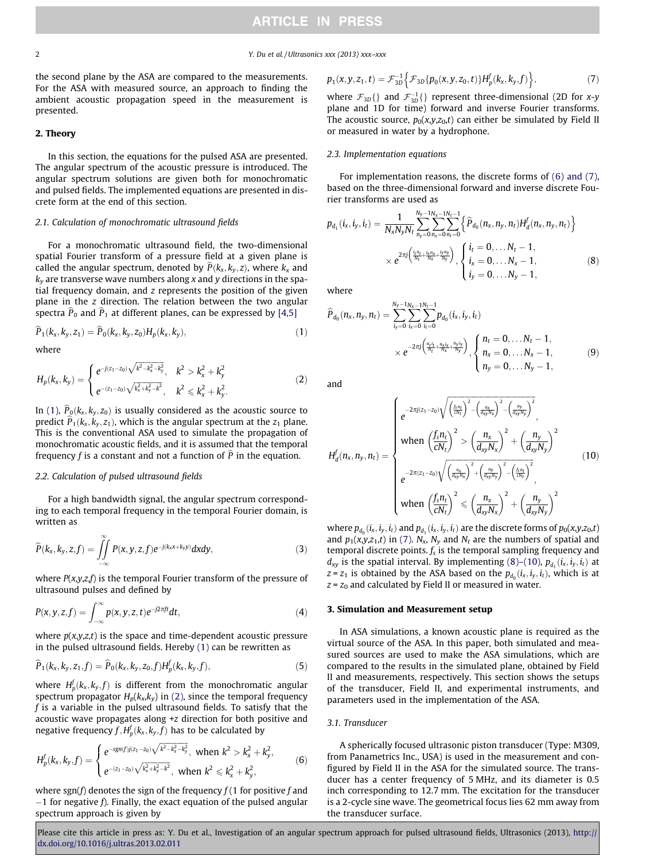<span id="page-2-0"></span>2 2 Y. Du et al. / Ultrasonics xxx (2013) xxx–xxx

the second plane by the ASA are compared to the measurements. For the ASA with measured source, an approach to finding the ambient acoustic propagation speed in the measurement is presented.

#### 2. Theory

In this section, the equations for the pulsed ASA are presented. The angular spectrum of the acoustic pressure is introduced. The angular spectrum solutions are given both for monochromatic and pulsed fields. The implemented equations are presented in discrete form at the end of this section.

#### 2.1. Calculation of monochromatic ultrasound fields

For a monochromatic ultrasound field, the two-dimensional spatial Fourier transform of a pressure field at a given plane is called the angular spectrum, denoted by  $\hat{P}(k_x, k_y, z)$ , where  $k_x$  and  $k_y$  are transverse wave numbers along x and y directions in the spatial frequency domain, and  $z$  represents the position of the given plane in the z direction. The relation between the two angular spectra  $\hat{P}_0$  and  $\hat{P}_1$  at different planes, can be expressed by [\[4,5\]](#page-6-0)

$$
\widehat{P}_1(k_x, k_y, z_1) = \widehat{P}_0(k_x, k_y, z_0) H_p(k_x, k_y), \qquad (1)
$$

where

$$
H_p(k_x, k_y) = \begin{cases} e^{-j(z_1 - z_0)\sqrt{k^2 - k_x^2 - k_y^2}}, & k^2 > k_x^2 + k_y^2\\ e^{-(z_1 - z_0)\sqrt{k_x^2 + k_y^2 - k^2}}, & k^2 \le k_x^2 + k_y^2. \end{cases}
$$
 (2)

In (1),  $\widehat{P}_0(k_x, k_y, z_0)$  is usually considered as the acoustic source to predict  $\widehat{P}_1(k_x, k_y, z_1)$ , which is the angular spectrum at the  $z_1$  plane. This is the conventional ASA used to simulate the propagation of monochromatic acoustic fields, and it is assumed that the temporal frequency f is a constant and not a function of  $\hat{P}$  in the equation.

#### 2.2. Calculation of pulsed ultrasound fields

For a high bandwidth signal, the angular spectrum corresponding to each temporal frequency in the temporal Fourier domain, is written as

$$
\widehat{P}(k_x, k_y, z, f) = \iint\limits_{-\infty}^{\infty} P(x, y, z, f) e^{-j(k_x x + k_y y)} dx dy, \qquad (3)
$$

where  $P(x, y, z, f)$  is the temporal Fourier transform of the pressure of ultrasound pulses and defined by

$$
P(x, y, z, f) = \int_{-\infty}^{\infty} p(x, y, z, t) e^{-j2\pi ft} dt,
$$
\n(4)

where  $p(x,y,z,t)$  is the space and time-dependent acoustic pressure in the pulsed ultrasound fields. Hereby  $(1)$  can be rewritten as

$$
\widehat{P}_1(k_x, k_y, z_1, f) = \widehat{P}_0(k_x, k_y, z_0, f) H_p^f(k_x, k_y, f), \qquad (5)
$$

where  $H_p^f(k_x, k_y, f)$  is different from the monochromatic angular spectrum propagator  $H_n(k_x,k_y)$  in (2), since the temporal frequency  $f$  is a variable in the pulsed ultrasound fields. To satisfy that the acoustic wave propagates along  $+z$  direction for both positive and negative frequency  $f, H_p^f(k_\mathrm{x},k_\mathrm{y},f)$  has to be calculated by

$$
H_p^f(k_x, k_y, f) = \begin{cases} e^{-sgn(f)j(z_1 - z_0)\sqrt{k^2 - k_x^2 - k_y^2}}, & \text{when } k^2 > k_x^2 + k_y^2, \\ e^{-(z_1 - z_0)\sqrt{k_x^2 + k_y^2 - k^2}}, & \text{when } k^2 \le k_x^2 + k_y^2, \end{cases}
$$
(6)

where sgn(f) denotes the sign of the frequency  $f(1$  for positive f and  $-1$  for negative f). Finally, the exact equation of the pulsed angular spectrum approach is given by

$$
p_1(x, y, z_1, t) = \mathcal{F}_{3D}^{-1} \Big\{ \mathcal{F}_{3D} \{ p_0(x, y, z_0, t) \} H_p^f(k_x, k_y, f) \Big\},\tag{7}
$$

where  $\mathcal{F}_{3D}$ {} and  $\mathcal{F}_{3D}^{-1}$ {} represent three-dimensional (2D for x-y plane and 1D for time) forward and inverse Fourier transforms. The acoustic source,  $p_0(x,y,z_0,t)$  can either be simulated by Field II or measured in water by a hydrophone.

#### 2.3. Implementation equations

For implementation reasons, the discrete forms of (6) and (7), based on the three-dimensional forward and inverse discrete Fourier transforms are used as

$$
p_{d_1}(i_x, i_y, i_t) = \frac{1}{N_x N_y N_t} \sum_{n_y=0}^{N_y-1} \sum_{n_x=0}^{N_x-1} \sum_{n_t=0}^{N_t-1} \left\{ \widehat{P}_{d_0}(n_x, n_y, n_t) H_d^f(n_x, n_y, n_t) \right\}
$$

$$
\times e^{2\pi j \left( \frac{i_1 n_t}{N_t} + \frac{i_2 n_x}{N_x} + \frac{i_3 n_y}{N_y} \right)}, \begin{cases} i_t = 0, \dots N_t - 1, \\ i_x = 0, \dots N_x - 1, \\ i_y = 0, \dots N_y - 1, \end{cases} (8)
$$

where

$$
\widehat{P}_{d_0}(n_x, n_y, n_t) = \sum_{i_y=0}^{N_y-1} \sum_{i_x=0}^{N_x-1} \sum_{i_l=0}^{N_t-1} p_{d_0}(i_x, i_y, i_t) \times e^{-2\pi j \left( \frac{n_t i_t}{N_t} + \frac{n_x i_x}{N_x} + \frac{n_y i_y}{N_y} \right)}, \begin{cases} n_t = 0, \dots, N_t - 1, \\ n_x = 0, \dots, N_x - 1, \\ n_y = 0, \dots, N_y - 1, \end{cases}
$$
\n(9)

and

$$
H_d^f(n_x, n_y, n_t) = \begin{cases} e^{-2\pi j(z_1 - z_0)\sqrt{\left(\frac{f_s n_t}{cN_t}\right)^2 - \left(\frac{n_y}{dy_0N_x}\right)^2 - \left(\frac{n_y}{dy_0N_y}\right)^2}}, \\ \text{when } \left(\frac{f_s n_t}{cN_t}\right)^2 > \left(\frac{n_x}{dy_0N_x}\right)^2 + \left(\frac{n_y}{dy_0N_y}\right)^2 \\ e^{-2\pi(z_1 - z_0)\sqrt{\left(\frac{n_x}{dy_0N_x}\right)^2 + \left(\frac{n_y}{dy_0N_y}\right)^2 - \left(\frac{f_s n_t}{cN_t}\right)^2}}, \\ \text{when } \left(\frac{f_s n_t}{cN_t}\right)^2 \le \left(\frac{n_x}{dy_0N_x}\right)^2 + \left(\frac{n_y}{dy_0N_y}\right)^2 \end{cases} (10)
$$

where  $p_{d_0}$  $(i_x, i_y, i_t)$  and  $p_{d_1}$  $(i_x, i_y, i_t)$  are the discrete forms of  $p_0(x,y,z_0,t)$ and  $p_1(x,y,z_1,t)$  in (7).  $N_x$ ,  $N_y$  and  $N_t$  are the numbers of spatial and temporal discrete points.  $f_s$  is the temporal sampling frequency and  $d_{xy}$  is the spatial interval. By implementing (8)–(10),  $p_{d_1}(i_x, i_y, i_t)$  at  $z = z_1$  is obtained by the ASA based on the  $p_{d_0}(i_x, i_y, i_t)$ , which is at  $z = z_0$  and calculated by Field II or measured in water.

#### 3. Simulation and Measurement setup

In ASA simulations, a known acoustic plane is required as the virtual source of the ASA. In this paper, both simulated and measured sources are used to make the ASA simulations, which are compared to the results in the simulated plane, obtained by Field II and measurements, respectively. This section shows the setups of the transducer, Field II, and experimental instruments, and parameters used in the implementation of the ASA.

#### 3.1. Transducer

A spherically focused ultrasonic piston transducer (Type: M309, from Panametrics Inc., USA) is used in the measurement and configured by Field II in the ASA for the simulated source. The transducer has a center frequency of 5 MHz, and its diameter is 0.5 inch corresponding to 12.7 mm. The excitation for the transducer is a 2-cycle sine wave. The geometrical focus lies 62 mm away from the transducer surface.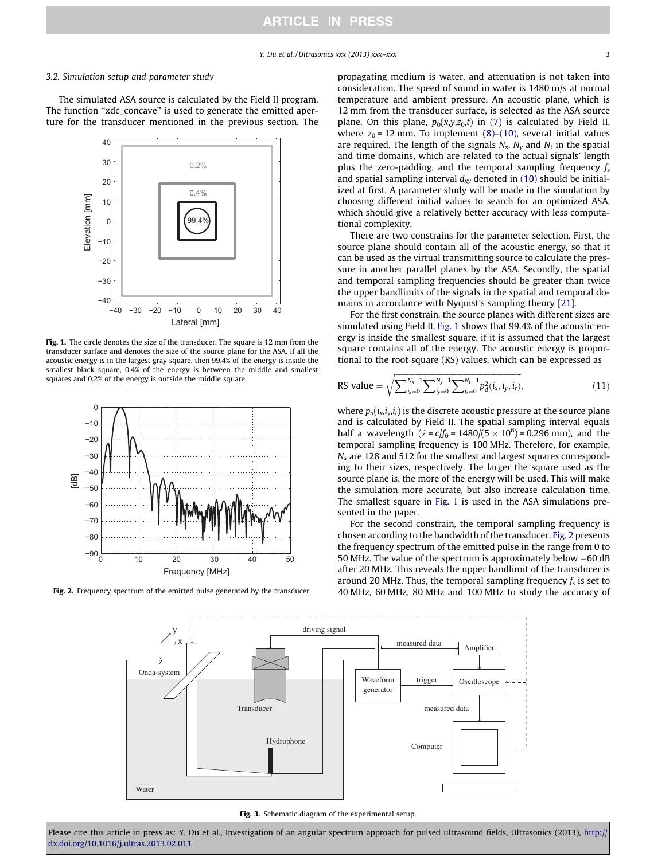#### <span id="page-3-0"></span>3.2. Simulation setup and parameter study

The simulated ASA source is calculated by the Field II program. The function "xdc\_concave" is used to generate the emitted aperture for the transducer mentioned in the previous section. The



Fig. 1. The circle denotes the size of the transducer. The square is 12 mm from the transducer surface and denotes the size of the source plane for the ASA. If all the acoustic energy is in the largest gray square, then 99.4% of the energy is inside the smallest black square, 0.4% of the energy is between the middle and smallest squares and 0.2% of the energy is outside the middle square.



Fig. 2. Frequency spectrum of the emitted pulse generated by the transducer.

propagating medium is water, and attenuation is not taken into consideration. The speed of sound in water is 1480 m/s at normal temperature and ambient pressure. An acoustic plane, which is 12 mm from the transducer surface, is selected as the ASA source plane. On this plane,  $p_0(x,y,z_0,t)$  in [\(7\)](#page-2-0) is calculated by Field II, where  $z_0$  = 12 mm. To implement [\(8\)–\(10\)](#page-2-0), several initial values are required. The length of the signals  $N_x$ ,  $N_y$  and  $N_t$  in the spatial and time domains, which are related to the actual signals' length plus the zero-padding, and the temporal sampling frequency  $f_s$ and spatial sampling interval  $d_{xy}$  denoted in (10) should be initialized at first. A parameter study will be made in the simulation by choosing different initial values to search for an optimized ASA, which should give a relatively better accuracy with less computational complexity.

There are two constrains for the parameter selection. First, the source plane should contain all of the acoustic energy, so that it can be used as the virtual transmitting source to calculate the pressure in another parallel planes by the ASA. Secondly, the spatial and temporal sampling frequencies should be greater than twice the upper bandlimits of the signals in the spatial and temporal domains in accordance with Nyquist's sampling theory [\[21\].](#page-7-0)

For the first constrain, the source planes with different sizes are simulated using Field II. Fig. 1 shows that 99.4% of the acoustic energy is inside the smallest square, if it is assumed that the largest square contains all of the energy. The acoustic energy is proportional to the root square (RS) values, which can be expressed as

RS value = 
$$
\sqrt{\sum_{i_x=0}^{N_x-1} \sum_{i_y=0}^{N_y-1} \sum_{i_t=0}^{N_t-1} p_d^2(i_x, i_y, i_t)}
$$
, (11)

where  $p_d(i_x,i_y,i_t)$  is the discrete acoustic pressure at the source plane and is calculated by Field II. The spatial sampling interval equals half a wavelength ( $\lambda = c/f_0 = 1480/(5 \times 10^6) = 0.296$  mm), and the temporal sampling frequency is 100 MHz. Therefore, for example,  $N<sub>x</sub>$  are 128 and 512 for the smallest and largest squares corresponding to their sizes, respectively. The larger the square used as the source plane is, the more of the energy will be used. This will make the simulation more accurate, but also increase calculation time. The smallest square in Fig. 1 is used in the ASA simulations presented in the paper.

For the second constrain, the temporal sampling frequency is chosen according to the bandwidth of the transducer. Fig. 2 presents the frequency spectrum of the emitted pulse in the range from 0 to 50 MHz. The value of the spectrum is approximately below  $-60$  dB after 20 MHz. This reveals the upper bandlimit of the transducer is around 20 MHz. Thus, the temporal sampling frequency  $f_s$  is set to 40 MHz, 60 MHz, 80 MHz and 100 MHz to study the accuracy of



Fig. 3. Schematic diagram of the experimental setup.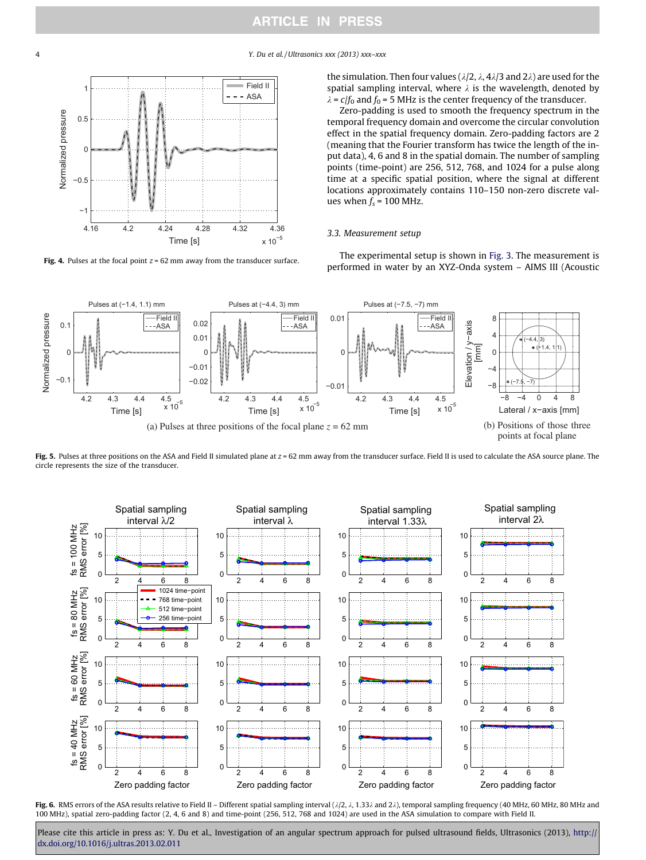<span id="page-4-0"></span>4 Y. Du et al. / Ultrasonics xxx (2013) xxx–xxx



Fig. 4. Pulses at the focal point  $z = 62$  mm away from the transducer surface.

the simulation. Then four values ( $\lambda/2$ ,  $\lambda$ ,  $4\lambda/3$  and  $2\lambda$ ) are used for the spatial sampling interval, where  $\lambda$  is the wavelength, denoted by  $\lambda = c/f_0$  and  $f_0 = 5$  MHz is the center frequency of the transducer.

Zero-padding is used to smooth the frequency spectrum in the temporal frequency domain and overcome the circular convolution effect in the spatial frequency domain. Zero-padding factors are 2 (meaning that the Fourier transform has twice the length of the input data), 4, 6 and 8 in the spatial domain. The number of sampling points (time-point) are 256, 512, 768, and 1024 for a pulse along time at a specific spatial position, where the signal at different locations approximately contains 110-150 non-zero discrete values when  $f_s$  = 100 MHz.

#### 3.3. Measurement setup

The experimental setup is shown in [Fig. 3.](#page-3-0) The measurement is performed in water by an XYZ-Onda system – AIMS III (Acoustic



Fig. 5. Pulses at three positions on the ASA and Field II simulated plane at  $z = 62$  mm away from the transducer surface. Field II is used to calculate the ASA source plane. The circle represents the size of the transducer.



Fig. 6. RMS errors of the ASA results relative to Field II - Different spatial sampling interval  $(\lambda/2, \lambda, 1.33\lambda)$  and  $2\lambda)$ , temporal sampling frequency (40 MHz, 60 MHz, 80 MHz and 100 MHz), spatial zero-padding factor (2, 4, 6 and 8) and time-point (256, 512, 768 and 1024) are used in the ASA simulation to compare with Field II.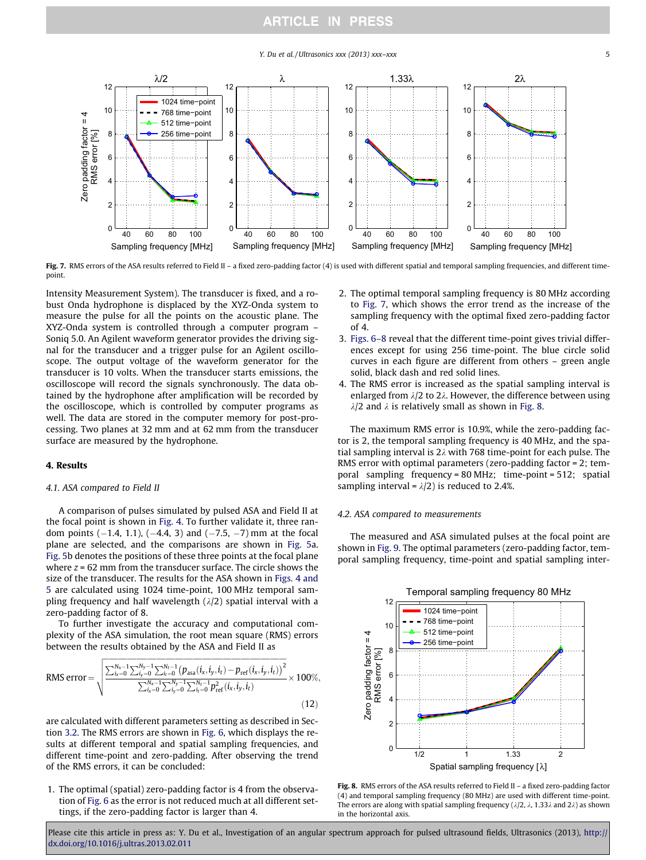Y. Du et al. / Ultrasonics  $xxx$  (2013)  $xxx-xx$  5

<span id="page-5-0"></span>

Fig. 7. RMS errors of the ASA results referred to Field II - a fixed zero-padding factor (4) is used with different spatial and temporal sampling frequencies, and different timepoint.

Intensity Measurement System). The transducer is fixed, and a robust Onda hydrophone is displaced by the XYZ-Onda system to measure the pulse for all the points on the acoustic plane. The XYZ-Onda system is controlled through a computer program -Soniq 5.0. An Agilent waveform generator provides the driving signal for the transducer and a trigger pulse for an Agilent oscilloscope. The output voltage of the waveform generator for the transducer is 10 volts. When the transducer starts emissions, the oscilloscope will record the signals synchronously. The data obtained by the hydrophone after amplification will be recorded by the oscilloscope, which is controlled by computer programs as well. The data are stored in the computer memory for post-processing. Two planes at 32 mm and at 62 mm from the transducer surface are measured by the hydrophone.

#### 4. Results

#### 4.1. ASA compared to Field II

A comparison of pulses simulated by pulsed ASA and Field II at the focal point is shown in [Fig. 4](#page-4-0). To further validate it, three random points  $(-1.4, 1.1)$ ,  $(-4.4, 3)$  and  $(-7.5, -7)$  mm at the focal plane are selected, and the comparisons are shown in [Fig. 5](#page-4-0)a. [Fig. 5](#page-4-0)b denotes the positions of these three points at the focal plane where  $z = 62$  mm from the transducer surface. The circle shows the size of the transducer. The results for the ASA shown in [Figs. 4 and](#page-4-0)  [5](#page-4-0) are calculated using 1024 time-point, 100 MHz temporal sampling frequency and half wavelength  $(\lambda/2)$  spatial interval with a zero-padding factor of 8.

To further investigate the accuracy and computational complexity of the ASA simulation, the root mean square (RMS) errors between the results obtained by the ASA and Field II as

RMS error = 
$$
\sqrt{\frac{\sum_{i_x=0}^{N_x-1} \sum_{i_y=0}^{N_y-1} \sum_{i_t=0}^{N_t-1} (p_{\text{asa}}(i_x, i_y, i_t) - p_{\text{ref}}(i_x, i_y, i_t))^2}{\sum_{i_x=0}^{N_x-1} \sum_{i_y=0}^{N_y-1} \sum_{i_t=0}^{N_t-1} p_{\text{ref}}^2(i_x, i_y, i_t)} \times 100\%,
$$
\n(12)

are calculated with different parameters setting as described in Section 3.2. The RMS errors are shown in [Fig. 6](#page-4-0), which displays the results at different temporal and spatial sampling frequencies, and different time-point and zero-padding. After observing the trend of the RMS errors, it can be concluded:

1. The optimal (spatial) zero-padding factor is 4 from the observation of [Fig. 6](#page-4-0) as the error is not reduced much at all different settings, if the zero-padding factor is larger than 4.

- 2. The optimal temporal sampling frequency is 80 MHz according to Fig. 7, which shows the error trend as the increase of the sampling frequency with the optimal fixed zero-padding factor of 4.
- 3. [Figs. 6–8](#page-4-0) reveal that the different time-point gives trivial differences except for using 256 time-point. The blue circle solid curves in each figure are different from others – green angle solid, black dash and red solid lines.
- 4. The RMS error is increased as the spatial sampling interval is enlarged from  $\lambda/2$  to 2 $\lambda$ . However, the difference between using  $\lambda/2$  and  $\lambda$  is relatively small as shown in Fig. 8.

The maximum RMS error is 10.9%, while the zero-padding factor is 2, the temporal sampling frequency is 40 MHz, and the spatial sampling interval is 2 $\lambda$  with 768 time-point for each pulse. The RMS error with optimal parameters (zero-padding factor =  $2$ ; temporal sampling frequency =  $80$  MHz; time-point =  $512$ ; spatial sampling interval =  $\lambda/2$ ) is reduced to 2.4%.

#### 4.2. ASA compared to measurements

The measured and ASA simulated pulses at the focal point are shown in [Fig. 9.](#page-6-0) The optimal parameters (zero-padding factor, temporal sampling frequency, time-point and spatial sampling inter-



Fig. 8. RMS errors of the ASA results referred to Field II – a fixed zero-padding factor (4) and temporal sampling frequency (80 MHz) are used with different time-point. The errors are along with spatial sampling frequency ( $\lambda/2$ ,  $\lambda$ , 1.33 $\lambda$  and 2 $\lambda$ ) as shown in the horizontal axis.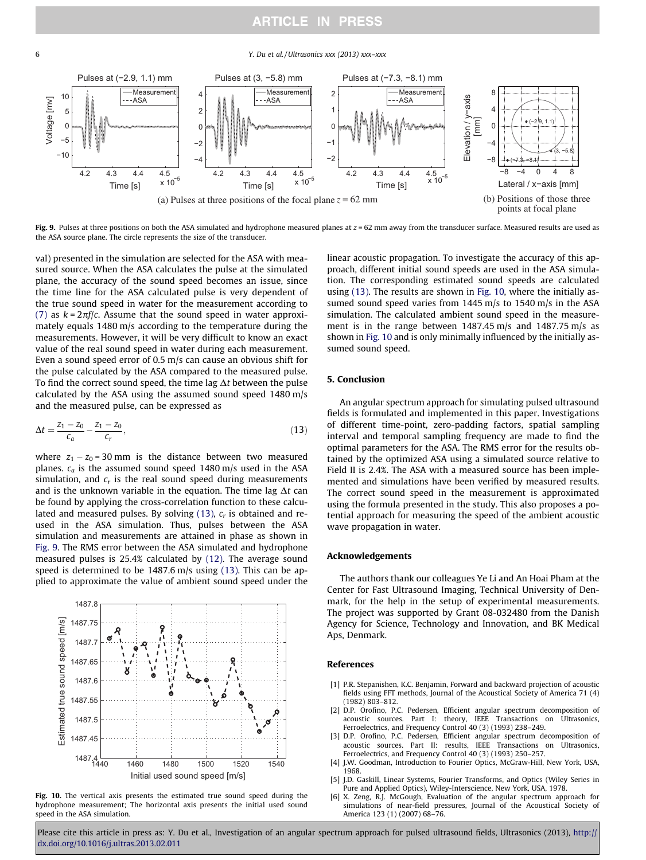6 Y. Du et al. / Ultrasonics xxx (2013) xxx–xxx



Fig. 9. Pulses at three positions on both the ASA simulated and hydrophone measured planes at  $z = 62$  mm away from the transducer surface. Measured results are used as the ASA source plane. The circle represents the size of the transducer.

val) presented in the simulation are selected for the ASA with measured source. When the ASA calculates the pulse at the simulated plane, the accuracy of the sound speed becomes an issue, since the time line for the ASA calculated pulse is very dependent of the true sound speed in water for the measurement according to [\(7\)](#page-2-0) as  $k = 2\pi f/c$ . Assume that the sound speed in water approximately equals  $1480 \text{ m/s}$  according to the temperature during the measurements. However, it will be very difficult to know an exact value of the real sound speed in water during each measurement. Even a sound speed error of 0.5 m/s can cause an obvious shift for the pulse calculated by the ASA compared to the measured pulse. To find the correct sound speed, the time lag  $\Delta t$  between the pulse calculated by the ASA using the assumed sound speed 1480 m/s and the measured pulse, can be expressed as

$$
\Delta t = \frac{z_1 - z_0}{c_a} - \frac{z_1 - z_0}{c_r},\tag{13}
$$

where  $z_1 - z_0 = 30$  mm is the distance between two measured planes.  $c_a$  is the assumed sound speed 1480 m/s used in the ASA simulation, and  $c_r$  is the real sound speed during measurements and is the unknown variable in the equation. The time lag  $\Delta t$  can be found by applying the cross-correlation function to these calculated and measured pulses. By solving  $(13)$ ,  $c<sub>r</sub>$  is obtained and reused in the ASA simulation. Thus, pulses between the ASA simulation and measurements are attained in phase as shown in Fig. 9. The RMS error between the ASA simulated and hydrophone measured pulses is  $25.4\%$  calculated by  $(12)$ . The average sound speed is determined to be  $1487.6$  m/s using (13). This can be applied to approximate the value of ambient sound speed under the



Fig. 10. The vertical axis presents the estimated true sound speed during the hydrophone measurement; The horizontal axis presents the initial used sound speed in the ASA simulation.

linear acoustic propagation. To investigate the accuracy of this approach, different initial sound speeds are used in the ASA simulation. The corresponding estimated sound speeds are calculated using (13). The results are shown in Fig. 10, where the initially assumed sound speed varies from 1445 m/s to 1540 m/s in the ASA simulation. The calculated ambient sound speed in the measurement is in the range between 1487.45 m/s and 1487.75 m/s as shown in Fig. 10 and is only minimally influenced by the initially assumed sound speed.

#### 5. Conclusion

An angular spectrum approach for simulating pulsed ultrasound fields is formulated and implemented in this paper. Investigations of different time-point, zero-padding factors, spatial sampling interval and temporal sampling frequency are made to find the optimal parameters for the ASA. The RMS error for the results obtained by the optimized ASA using a simulated source relative to Field II is 2.4%. The ASA with a measured source has been implemented and simulations have been verified by measured results. The correct sound speed in the measurement is approximated using the formula presented in the study. This also proposes a potential approach for measuring the speed of the ambient acoustic wave propagation in water.

#### **Acknowledgements**

The authors thank our colleagues Ye Li and An Hoai Pham at the Center for Fast Ultrasound Imaging, Technical University of Denmark, for the help in the setup of experimental measurements. The project was supported by Grant 08-032480 from the Danish Agency for Science, Technology and Innovation, and BK Medical Aps, Denmark.

#### References

- [1] P.R. Stepanishen, K.C. Benjamin, Forward and backward projection of acoustic fields using FFT methods, Journal of the Acoustical Society of America 71 (4) (1982) 803–812.
- [2] D.P. Orofino, P.C. Pedersen, Efficient angular spectrum decomposition of acoustic sources. Part I: theory, IEEE Transactions on Ultrasonics, Ferroelectrics, and Frequency Control 40 (3) (1993) 238–249.
- [3] D.P. Orofino, P.C. Pedersen, Efficient angular spectrum decomposition of acoustic sources. Part II: results, IEEE Transactions on Ultrasonics, Ferroelectrics, and Frequency Control 40 (3) (1993) 250–257.
- [4] J.W. Goodman, Introduction to Fourier Optics, McGraw-Hill, New York, USA, 1968.
- [5] J.D. Gaskill, Linear Systems, Fourier Transforms, and Optics (Wiley Series in Pure and Applied Optics), Wiley-Interscience, New York, USA, 1978.
- [6] X. Zeng, R.J. McGough, Evaluation of the angular spectrum approach for simulations of near-field pressures, Journal of the Acoustical Society of America 123 (1) (2007) 68–76.

<span id="page-6-0"></span>